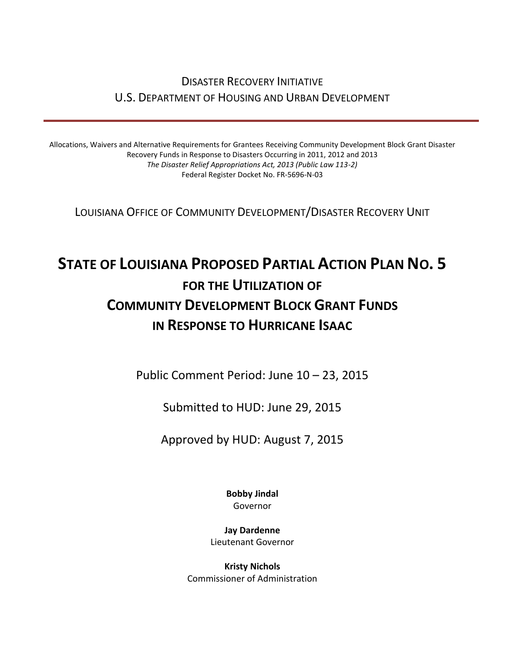# DISASTER RECOVERY INITIATIVE U.S. DEPARTMENT OF HOUSING AND URBAN DEVELOPMENT

Allocations, Waivers and Alternative Requirements for Grantees Receiving Community Development Block Grant Disaster Recovery Funds in Response to Disasters Occurring in 2011, 2012 and 2013 *The Disaster Relief Appropriations Act, 2013 (Public Law 113-2)* Federal Register Docket No. FR-5696-N-03

LOUISIANA OFFICE OF COMMUNITY DEVELOPMENT/DISASTER RECOVERY UNIT

# **STATE OF LOUISIANA PROPOSED PARTIAL ACTION PLAN NO. 5 FOR THE UTILIZATION OF COMMUNITY DEVELOPMENT BLOCK GRANT FUNDS IN RESPONSE TO HURRICANE ISAAC**

Public Comment Period: June 10 – 23, 2015

Submitted to HUD: June 29, 2015

Approved by HUD: August 7, 2015

**Bobby Jindal** Governor

**Jay Dardenne** Lieutenant Governor

**Kristy Nichols** Commissioner of Administration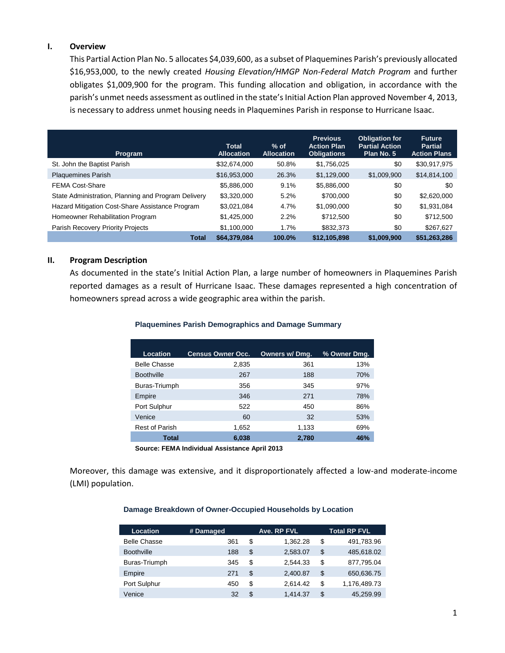#### **I. Overview**

This Partial Action Plan No. 5 allocates \$4,039,600, as a subset of Plaquemines Parish's previously allocated \$16,953,000, to the newly created *Housing Elevation/HMGP Non-Federal Match Program* and further obligates \$1,009,900 for the program. This funding allocation and obligation, in accordance with the parish's unmet needs assessment as outlined in the state's Initial Action Plan approved November 4, 2013, is necessary to address unmet housing needs in Plaquemines Parish in response to Hurricane Isaac.

| Program                                             | <b>Total</b><br><b>Allocation</b> | $%$ of<br><b>Allocation</b> | <b>Previous</b><br><b>Action Plan</b><br><b>Obligations</b> | <b>Obligation for</b><br><b>Partial Action</b><br>Plan No. 5 | <b>Future</b><br><b>Partial</b><br><b>Action Plans</b> |
|-----------------------------------------------------|-----------------------------------|-----------------------------|-------------------------------------------------------------|--------------------------------------------------------------|--------------------------------------------------------|
| St. John the Baptist Parish                         | \$32,674,000                      | 50.8%                       | \$1,756,025                                                 | \$0                                                          | \$30,917,975                                           |
| <b>Plaquemines Parish</b>                           | \$16,953,000                      | 26.3%                       | \$1,129,000                                                 | \$1,009,900                                                  | \$14,814,100                                           |
| <b>FEMA Cost-Share</b>                              | \$5,886,000                       | 9.1%                        | \$5,886,000                                                 | \$0                                                          | \$0                                                    |
| State Administration, Planning and Program Delivery | \$3,320,000                       | 5.2%                        | \$700,000                                                   | \$0                                                          | \$2,620,000                                            |
| Hazard Mitigation Cost-Share Assistance Program     | \$3,021,084                       | 4.7%                        | \$1,090,000                                                 | \$0                                                          | \$1,931,084                                            |
| Homeowner Rehabilitation Program                    | \$1,425,000                       | 2.2%                        | \$712,500                                                   | \$0                                                          | \$712,500                                              |
| Parish Recovery Priority Projects                   | \$1,100,000                       | 1.7%                        | \$832,373                                                   | \$0                                                          | \$267,627                                              |
| <b>Total</b>                                        | \$64,379,084                      | 100.0%                      | \$12,105,898                                                | \$1,009,900                                                  | \$51,263,286                                           |

#### **II. Program Description**

As documented in the state's Initial Action Plan, a large number of homeowners in Plaquemines Parish reported damages as a result of Hurricane Isaac. These damages represented a high concentration of homeowners spread across a wide geographic area within the parish.

#### **Plaquemines Parish Demographics and Damage Summary**

| <b>Location</b>       | <b>Census Owner Occ.</b> | Owners w/ Dmg. | % Owner Dmg. |
|-----------------------|--------------------------|----------------|--------------|
| <b>Belle Chasse</b>   | 2,835                    | 361            | 13%          |
| <b>Boothville</b>     | 267                      | 188            | 70%          |
| Buras-Triumph         | 356                      | 345            | 97%          |
| Empire                | 346                      | 271            | 78%          |
| Port Sulphur          | 522                      | 450            | 86%          |
| Venice                | 60                       | 32             | 53%          |
| <b>Rest of Parish</b> | 1,652                    | 1,133          | 69%          |
| <b>Total</b>          | 6,038                    | 2,780          | <b>46%</b>   |

**Source: FEMA Individual Assistance April 2013**

Moreover, this damage was extensive, and it disproportionately affected a low-and moderate-income (LMI) population.

#### **Damage Breakdown of Owner-Occupied Households by Location**

| Location            | # Damaged | Ave. RP FVL |          | <b>Total RP FVL</b> |
|---------------------|-----------|-------------|----------|---------------------|
| <b>Belle Chasse</b> | 361       | S           | 1.362.28 | \$<br>491,783.96    |
| <b>Boothville</b>   | 188       | \$          | 2,583.07 | \$<br>485,618.02    |
| Buras-Triumph       | 345       | \$          | 2.544.33 | \$<br>877,795.04    |
| Empire              | 271       | \$          | 2,400.87 | \$<br>650,636.75    |
| Port Sulphur        | 450       | \$          | 2.614.42 | \$<br>1,176,489.73  |
| Venice              | 32        | \$          | 1.414.37 | \$<br>45.259.99     |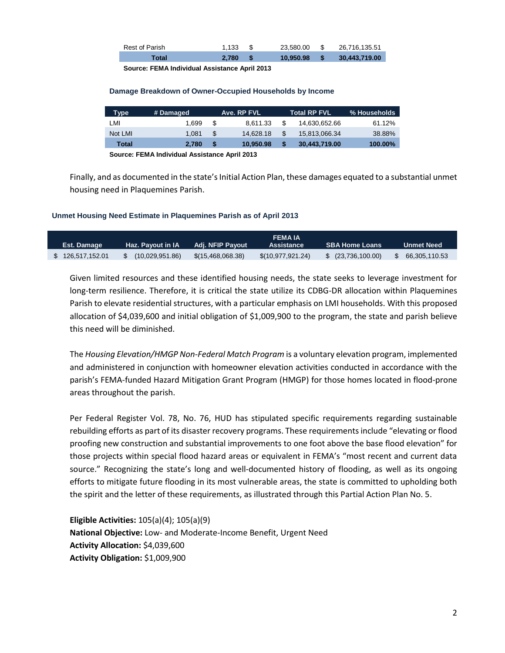| Rest of Parish | 1.133 | 23.580.00 | S S | 26.716.135.51 |
|----------------|-------|-----------|-----|---------------|
| Total          | 2.780 | 10.950.98 |     | 30,443,719.00 |

**Source: FEMA Individual Assistance April 2013**

#### **Damage Breakdown of Owner-Occupied Households by Income**

| <b>Type</b> | # Damaged |   | Ave. RP FVL |     | <b>Total RP FVL</b> | % Households |
|-------------|-----------|---|-------------|-----|---------------------|--------------|
| LMI         | 1.699     | S | 8.611.33    | \$. | 14.630.652.66       | 61.12%       |
| Not LMI     | 1.081     | S | 14.628.18   | S   | 15.813.066.34       | 38.88%       |
| Total       | 2.780     | S | 10.950.98   |     | 30,443,719.00       | 100.00%      |

**Source: FEMA Individual Assistance April 2013**

Finally, and as documented in the state's Initial Action Plan, these damages equated to a substantial unmet housing need in Plaquemines Parish.

#### **Unmet Housing Need Estimate in Plaquemines Parish as of April 2013**

| <b>FEMAIA</b>      |                   |                   |                   |                       |               |
|--------------------|-------------------|-------------------|-------------------|-----------------------|---------------|
| <b>Est. Damage</b> | Haz. Pavout in IA | Adi. NFIP Pavout  | Assistance        | <b>SBA Home Loans</b> | Unmet Need    |
| 126,517,152.01     | (10,029,951.86)   | \$(15,468,068.38) | \$(10,977,921.24) | \$ (23,736,100.00)    | 66.305.110.53 |

Given limited resources and these identified housing needs, the state seeks to leverage investment for long-term resilience. Therefore, it is critical the state utilize its CDBG-DR allocation within Plaquemines Parish to elevate residential structures, with a particular emphasis on LMI households. With this proposed allocation of \$4,039,600 and initial obligation of \$1,009,900 to the program, the state and parish believe this need will be diminished.

The *Housing Elevation/HMGP Non-Federal Match Program* is a voluntary elevation program, implemented and administered in conjunction with homeowner elevation activities conducted in accordance with the parish's FEMA-funded Hazard Mitigation Grant Program (HMGP) for those homes located in flood-prone areas throughout the parish.

Per Federal Register Vol. 78, No. 76, HUD has stipulated specific requirements regarding sustainable rebuilding efforts as part of its disaster recovery programs. These requirements include "elevating or flood proofing new construction and substantial improvements to one foot above the base flood elevation" for those projects within special flood hazard areas or equivalent in FEMA's "most recent and current data source." Recognizing the state's long and well-documented history of flooding, as well as its ongoing efforts to mitigate future flooding in its most vulnerable areas, the state is committed to upholding both the spirit and the letter of these requirements, as illustrated through this Partial Action Plan No. 5.

**Eligible Activities:** 105(a)(4); 105(a)(9) **National Objective:** Low- and Moderate-Income Benefit, Urgent Need **Activity Allocation:** \$4,039,600 **Activity Obligation:** \$1,009,900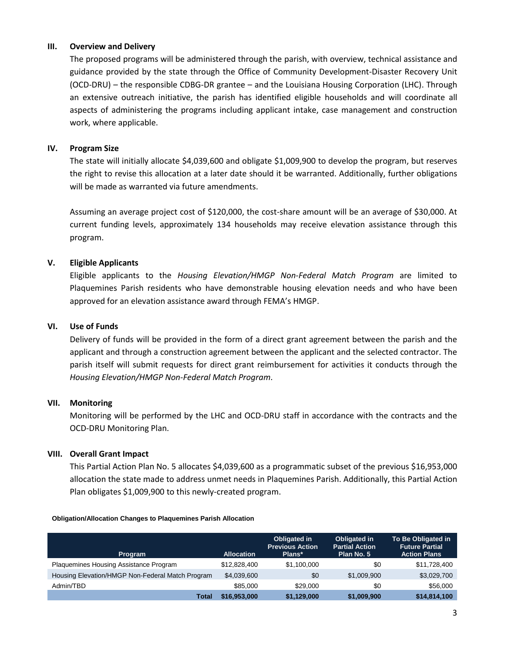### **III. Overview and Delivery**

The proposed programs will be administered through the parish, with overview, technical assistance and guidance provided by the state through the Office of Community Development-Disaster Recovery Unit (OCD-DRU) – the responsible CDBG-DR grantee – and the Louisiana Housing Corporation (LHC). Through an extensive outreach initiative, the parish has identified eligible households and will coordinate all aspects of administering the programs including applicant intake, case management and construction work, where applicable.

### **IV. Program Size**

The state will initially allocate \$4,039,600 and obligate \$1,009,900 to develop the program, but reserves the right to revise this allocation at a later date should it be warranted. Additionally, further obligations will be made as warranted via future amendments.

Assuming an average project cost of \$120,000, the cost-share amount will be an average of \$30,000. At current funding levels, approximately 134 households may receive elevation assistance through this program.

# **V. Eligible Applicants**

Eligible applicants to the *Housing Elevation/HMGP Non-Federal Match Program* are limited to Plaquemines Parish residents who have demonstrable housing elevation needs and who have been approved for an elevation assistance award through FEMA's HMGP.

# **VI. Use of Funds**

Delivery of funds will be provided in the form of a direct grant agreement between the parish and the applicant and through a construction agreement between the applicant and the selected contractor. The parish itself will submit requests for direct grant reimbursement for activities it conducts through the *Housing Elevation/HMGP Non-Federal Match Program*.

# **VII. Monitoring**

Monitoring will be performed by the LHC and OCD-DRU staff in accordance with the contracts and the OCD-DRU Monitoring Plan.

# **VIII. Overall Grant Impact**

This Partial Action Plan No. 5 allocates \$4,039,600 as a programmatic subset of the previous \$16,953,000 allocation the state made to address unmet needs in Plaquemines Parish. Additionally, this Partial Action Plan obligates \$1,009,900 to this newly-created program.

#### **Obligation/Allocation Changes to Plaquemines Parish Allocation**

| Program                                          | <b>Allocation</b> | <b>Obligated in</b><br><b>Previous Action</b><br>Plans* | <b>Obligated in</b><br><b>Partial Action</b><br>Plan No. 5 | To Be Obligated in<br><b>Future Partial</b><br><b>Action Plans</b> |
|--------------------------------------------------|-------------------|---------------------------------------------------------|------------------------------------------------------------|--------------------------------------------------------------------|
| Plaquemines Housing Assistance Program           | \$12,828,400      | \$1,100,000                                             | \$0                                                        | \$11,728,400                                                       |
| Housing Elevation/HMGP Non-Federal Match Program | \$4,039,600       | \$0                                                     | \$1,009,900                                                | \$3,029,700                                                        |
| Admin/TBD                                        | \$85,000          | \$29,000                                                | \$0                                                        | \$56,000                                                           |
| Total                                            | \$16,953,000      | \$1,129,000                                             | \$1,009,900                                                | \$14,814,100                                                       |